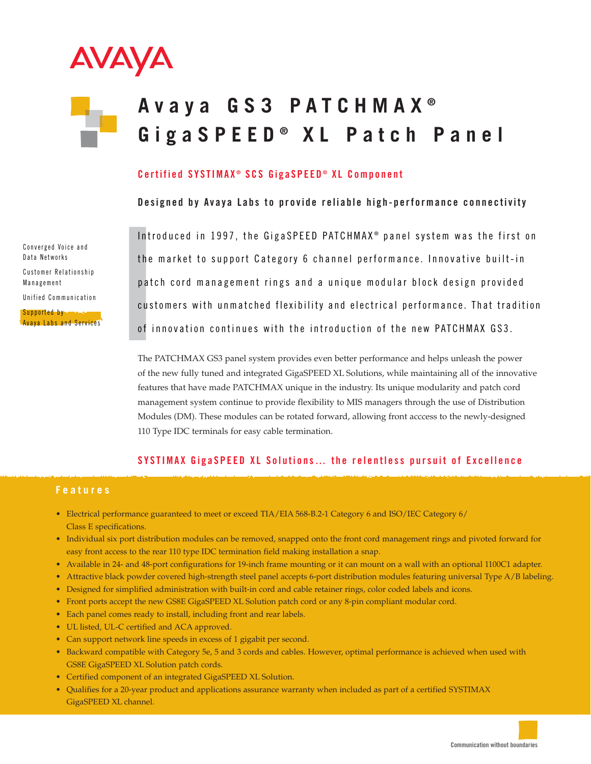

# **A vaya GS3 PATCHMAX ® GigaSPEED ® XL Patch Panel**

### **Certified SYSTIMAX ® SCS GigaSPEED ® XL Component**

**Designed by Avaya Labs to provide reliable high-performance connectivity**

Converged Voice and Data Networks Customer Relationship Management Unified Communication

Supported by Avaya Labs and Services Int<br>Int<br>Int<br>Pa<br>Cus<br>Of<br>The Introduced in 1997, the GigaSPEED PATCHMAX ® panel system was the first on the market to support Category 6 channel performance. Innovative built-in patch cord management rings and a unique modular block design provided customers with unmatched flexibility and electrical performance. That tradition of innovation continues with the introduction of the new PATCHMAX GS3.

The PATCHMAX GS3 panel system provides even better performance and helps unleash the power of the new fully tuned and integrated GigaSPEED XL Solutions, while maintaining all of the innovative features that have made PATCHMAX unique in the industry. Its unique modularity and patch cord management system continue to provide flexibility to MIS managers through the use of Distribution Modules (DM). These modules can be rotated forward, allowing front acccess to the newly-designed 110 Type IDC terminals for easy cable termination.

## **SYSTIMAX GigaSPEED XL Solutions… the relentless pursuit of Excellence**

#### **Features**

- Electrical performance guaranteed to meet or exceed TIA/EIA 568-B.2-1 Category 6 and ISO/IEC Category 6/ Class E specifications.
- Individual six port distribution modules can be removed, snapped onto the front cord management rings and pivoted forward for easy front access to the rear 110 type IDC termination field making installation a snap.
- Available in 24- and 48-port configurations for 19-inch frame mounting or it can mount on a wall with an optional 1100C1 adapter.
- Attractive black powder covered high-strength steel panel accepts 6-port distribution modules featuring universal Type A/B labeling.
- Designed for simplified administration with built-in cord and cable retainer rings, color coded labels and icons.
- Front ports accept the new GS8E GigaSPEED XL Solution patch cord or any 8-pin compliant modular cord.
- Each panel comes ready to install, including front and rear labels.
- UL listed, UL-C certified and ACA approved.
- Can support network line speeds in excess of 1 gigabit per second.
- Backward compatible with Category 5e, 5 and 3 cords and cables. However, optimal performance is achieved when used with GS8E GigaSPEED XL Solution patch cords.
- Certified component of an integrated GigaSPEED XL Solution.
- Qualifies for a 20-year product and applications assurance warranty when included as part of a certified SYSTIMAX GigaSPEED XL channel.

**Communication without boundaries**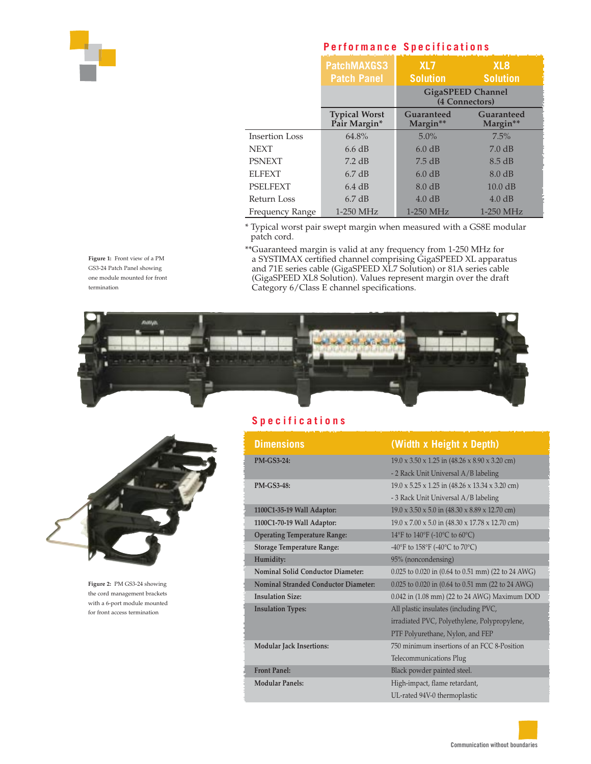

## **Performance Specifications**

|                       | PatchMAXGS3<br><b>Patch Panel</b>    | XL7<br><b>Solution</b>                     | XL <sub>8</sub><br><b>Solution</b> |
|-----------------------|--------------------------------------|--------------------------------------------|------------------------------------|
|                       |                                      | <b>GigaSPEED Channel</b><br>(4 Connectors) |                                    |
|                       | <b>Typical Worst</b><br>Pair Margin* | Guaranteed<br>Margin**                     | Guaranteed<br>Margin**             |
| <b>Insertion Loss</b> | 64.8%                                | $5.0\%$                                    | 7.5%                               |
| <b>NEXT</b>           | 6.6 dB                               | 6.0 dB                                     | 7.0 dB                             |
| <b>PSNEXT</b>         | $7.2$ dB                             | 7.5 dB                                     | 8.5 dB                             |
| <b>ELFEXT</b>         | $6.7 \text{ dB}$                     | 6.0 dB                                     | $8.0 \text{ dB}$                   |
| PSELFEXT              | $6.4 \text{ dB}$                     | $8.0 \text{ dB}$                           | 10.0 dB                            |
| Return Loss           | 6.7 dB                               | 4.0 dB                                     | 4.0 dB                             |
| Frequency Range       | 1-250 MHz                            | $1-250$ MHz                                | $1-250$ MHz                        |

\* Typical worst pair swept margin when measured with a GS8E modular patch cord.

\*\*Guaranteed margin is valid at any frequency from 1-250 MHz for a SYSTIMAX certified channel comprising GigaSPEED XL apparatus and 71E series cable (GigaSPEED XL7 Solution) or 81A series cable (GigaSPEED XL8 Solution). Values represent margin over the draft Category 6/Class E channel specifications.





**Figure 2:** PM GS3-24 showing the cord management brackets with a 6-port module mounted for front access termination

# **Specifications**

| <b>Dimensions</b>                    | (Width x Height x Depth)                                                |  |
|--------------------------------------|-------------------------------------------------------------------------|--|
| <b>PM-GS3-24:</b>                    | $19.0 \times 3.50 \times 1.25$ in $(48.26 \times 8.90 \times 3.20$ cm)  |  |
|                                      | - 2 Rack Unit Universal A/B labeling                                    |  |
| <b>PM-GS3-48:</b>                    | $19.0 \times 5.25 \times 1.25$ in $(48.26 \times 13.34 \times 3.20$ cm) |  |
|                                      | - 3 Rack Unit Universal A/B labeling                                    |  |
| 1100C1-35-19 Wall Adaptor:           | $19.0 \times 3.50 \times 5.0$ in $(48.30 \times 8.89 \times 12.70$ cm)  |  |
| 1100C1-70-19 Wall Adaptor:           | $19.0 \times 7.00 \times 5.0$ in $(48.30 \times 17.78 \times 12.70$ cm) |  |
| <b>Operating Temperature Range:</b>  | 14°F to 140°F (-10°C to 60°C)                                           |  |
| <b>Storage Temperature Range:</b>    | -40°F to 158°F (-40°C to 70°C)                                          |  |
| Humidity:                            | 95% (noncondensing)                                                     |  |
| Nominal Solid Conductor Diameter:    | 0.025 to 0.020 in (0.64 to 0.51 mm) (22 to 24 AWG)                      |  |
| Nominal Stranded Conductor Diameter: | 0.025 to 0.020 in (0.64 to 0.51 mm (22 to 24 AWG)                       |  |
| <b>Insulation Size:</b>              | 0.042 in (1.08 mm) (22 to 24 AWG) Maximum DOD                           |  |
| <b>Insulation Types:</b>             | All plastic insulates (including PVC,                                   |  |
|                                      | irradiated PVC, Polyethylene, Polypropylene,                            |  |
|                                      | PTF Polyurethane, Nylon, and FEP                                        |  |
| <b>Modular Jack Insertions:</b>      | 750 minimum insertions of an FCC 8-Position                             |  |
|                                      | Telecommunications Plug                                                 |  |
| <b>Front Panel:</b>                  | Black powder painted steel.                                             |  |
| <b>Modular Panels:</b>               | High-impact, flame retardant,                                           |  |
|                                      | UL-rated 94V-0 thermoplastic                                            |  |

GS3-24 Patch Panel showing one module mounted for front termination

**Figure 1:** Front view of a PM